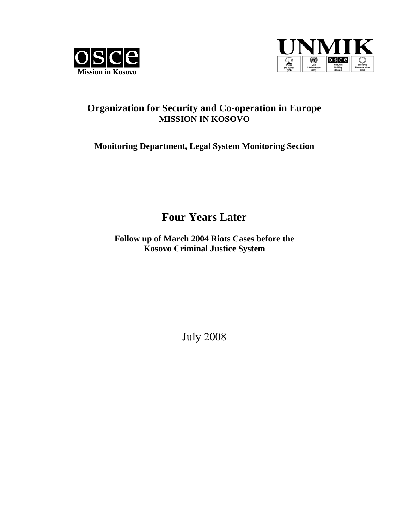



## **Organization for Security and Co-operation in Europe MISSION IN KOSOVO**

## **Monitoring Department, Legal System Monitoring Section**

# **Four Years Later**

**Follow up of March 2004 Riots Cases before the Kosovo Criminal Justice System** 

July 2008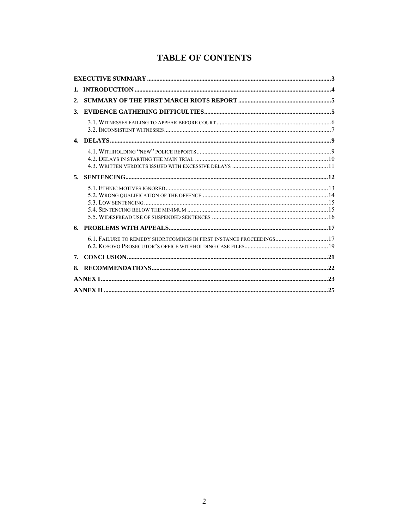## **TABLE OF CONTENTS**

| 2. |                                                                     |  |  |  |
|----|---------------------------------------------------------------------|--|--|--|
| 3. |                                                                     |  |  |  |
|    |                                                                     |  |  |  |
|    |                                                                     |  |  |  |
|    |                                                                     |  |  |  |
| 5. |                                                                     |  |  |  |
|    |                                                                     |  |  |  |
| 6. |                                                                     |  |  |  |
|    | 6.1. FAILURE TO REMEDY SHORTCOMINGS IN FIRST INSTANCE PROCEEDINGS17 |  |  |  |
| 7. |                                                                     |  |  |  |
| 8. |                                                                     |  |  |  |
|    |                                                                     |  |  |  |
|    |                                                                     |  |  |  |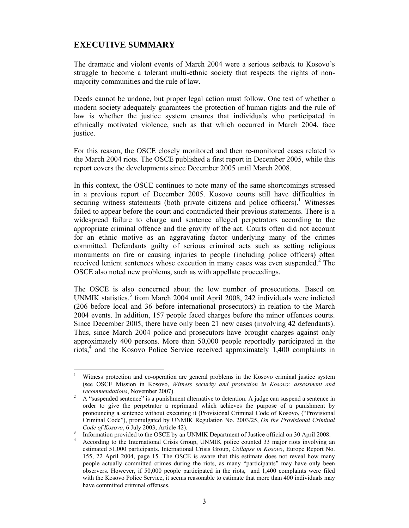## **EXECUTIVE SUMMARY**

The dramatic and violent events of March 2004 were a serious setback to Kosovo's struggle to become a tolerant multi-ethnic society that respects the rights of nonmajority communities and the rule of law.

Deeds cannot be undone, but proper legal action must follow. One test of whether a modern society adequately guarantees the protection of human rights and the rule of law is whether the justice system ensures that individuals who participated in ethnically motivated violence, such as that which occurred in March 2004, face justice.

For this reason, the OSCE closely monitored and then re-monitored cases related to the March 2004 riots. The OSCE published a first report in December 2005, while this report covers the developments since December 2005 until March 2008.

In this context, the OSCE continues to note many of the same shortcomings stressed in a previous report of December 2005. Kosovo courts still have difficulties in securing witness statements (both private citizens and police officers).<sup>1</sup> Witnesses failed to appear before the court and contradicted their previous statements. There is a widespread failure to charge and sentence alleged perpetrators according to the appropriate criminal offence and the gravity of the act. Courts often did not account for an ethnic motive as an aggravating factor underlying many of the crimes committed. Defendants guilty of serious criminal acts such as setting religious monuments on fire or causing injuries to people (including police officers) often received lenient sentences whose execution in many cases was even suspended.<sup>2</sup> The OSCE also noted new problems, such as with appellate proceedings.

The OSCE is also concerned about the low number of prosecutions. Based on UNMIK statistics,<sup>3</sup> from March 2004 until April 2008, 242 individuals were indicted (206 before local and 36 before international prosecutors) in relation to the March 2004 events. In addition, 157 people faced charges before the minor offences courts. Since December 2005, there have only been 21 new cases (involving 42 defendants). Thus, since March 2004 police and prosecutors have brought charges against only approximately 400 persons. More than 50,000 people reportedly participated in the riots,<sup>4</sup> and the Kosovo Police Service received approximately 1,400 complaints in

 $\overline{a}$ 1 Witness protection and co-operation are general problems in the Kosovo criminal justice system (see OSCE Mission in Kosovo, *Witness security and protection in Kosovo: assessment and* 

*recommendations*, November 2007).<br><sup>2</sup> A "suspended sentence" is a punishment alternative to detention. A judge can suspend a sentence in order to give the perpetrator a reprimand which achieves the purpose of a punishment by pronouncing a sentence without executing it (Provisional Criminal Code of Kosovo, ("Provisional Criminal Code"), promulgated by UNMIK Regulation No. 2003/25, *On the Provisional Criminal Code of Kosovo*, 6 July 2003, Article 42).

Information provided to the OSCE by an UNMIK Department of Justice official on 30 April 2008.

<sup>4</sup> According to the International Crisis Group, UNMIK police counted 33 major riots involving an estimated 51,000 participants. International Crisis Group, *Collapse in Kosovo*, Europe Report No. 155, 22 April 2004, page 15. The OSCE is aware that this estimate does not reveal how many people actually committed crimes during the riots, as many "participants" may have only been observers. However, if 50,000 people participated in the riots, and 1,400 complaints were filed with the Kosovo Police Service, it seems reasonable to estimate that more than 400 individuals may have committed criminal offenses.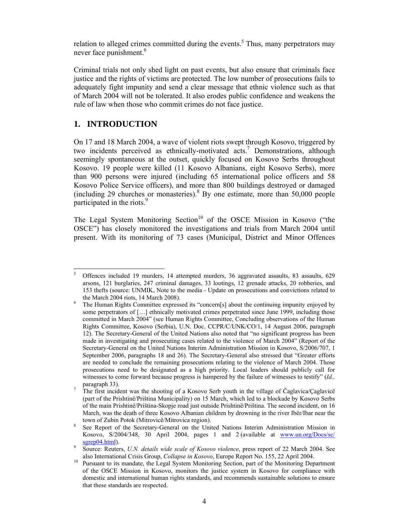relation to alleged crimes committed during the events.<sup>5</sup> Thus, many perpetrators may never face punishment.<sup>6</sup>

Criminal trials not only shed light on past events, but also ensure that criminals face justice and the rights of victims are protected. The low number of prosecutions fails to adequately fight impunity and send a clear message that ethnic violence such as that of March 2004 will not be tolerated. It also erodes public confidence and weakens the rule of law when those who commit crimes do not face justice.

### **1. INTRODUCTION**

On 17 and 18 March 2004, a wave of violent riots swept through Kosovo, triggered by two incidents perceived as ethnically-motivated acts.<sup>7</sup> Demonstrations, although seemingly spontaneous at the outset, quickly focused on Kosovo Serbs throughout Kosovo. 19 people were killed (11 Kosovo Albanians, eight Kosovo Serbs), more than 900 persons were injured (including 65 international police officers and 58 Kosovo Police Service officers), and more than 800 buildings destroyed or damaged (including 29 churches or monasteries). <sup>8</sup> By one estimate, more than 50,000 people participated in the riots.<sup>9</sup>

The Legal System Monitoring Section<sup>10</sup> of the OSCE Mission in Kosovo ("the OSCE") has closely monitored the investigations and trials from March 2004 until present. With its monitoring of 73 cases (Municipal, District and Minor Offences

 5 Offences included 19 murders, 14 attempted murders, 36 aggravated assaults, 83 assaults, 629 arsons, 121 burglaries, 247 criminal damages, 33 lootings, 12 grenade attacks, 20 robberies, and 153 thefts (source: UNMIK, Note to the media - Update on prosecutions and convictions related to the March 2004 riots,  $14$  March 2008).

The Human Rights Committee expressed its "concern[s] about the continuing impunity enjoyed by some perpetrators of [...] ethnically motivated crimes perpetrated since June 1999, including those committed in March 2004" (see Human Rights Committee, Concluding observations of the Human Rights Committee, Kosovo (Serbia), U.N. Doc. CCPR/C/UNK/CO/1, 14 August 2006, paragraph 12). The Secretary-General of the United Nations also noted that "no significant progress has been made in investigating and prosecuting cases related to the violence of March 2004" (Report of the Secretary-General on the United Nations Interim Administration Mission in Kosovo, S/2006/707, 1 September 2006, paragraphs 18 and 26). The Secretary-General also stressed that "Greater efforts are needed to conclude the remaining prosecutions relating to the violence of March 2004. Those prosecutions need to be designated as a high priority. Local leaders should publicly call for witnesses to come forward because progress is hampered by the failure of witnesses to testify" (*Id.,*  paragraph 33).

The first incident was the shooting of a Kosovo Serb youth in the village of Čaglavica/Çaglavicë (part of the Prishtinë/Priština Municipality) on 15 March, which led to a blockade by Kosovo Serbs of the main Prishtinë/Priština-Skopje road just outside Prishtinë/Priština. The second incident, on 16 March, was the death of three Kosovo Albanian children by drowning in the river Ibër/Ibar near the town of Zubin Potok (Mitrovicë/Mitrovica region). 8

See Report of the Secretary-General on the United Nations Interim Administration Mission in Kosovo, S/2004/348, 30 April 2004, pages 1 and 2 (available at www.un.org/Docs/sc/ sgrep04.html).

Source: Reuters, *U.N. details wide scale of Kosovo violence*, press report of 22 March 2004. See

also International Crisis Group, *Collapse in Kosovo*, Europe Report No. 155, 22 April 2004. 10 Pursuant to its mandate, the Legal System Monitoring Section, part of the Monitoring Department of the OSCE Mission in Kosovo, monitors the justice system in Kosovo for compliance with domestic and international human rights standards, and recommends sustainable solutions to ensure that these standards are respected.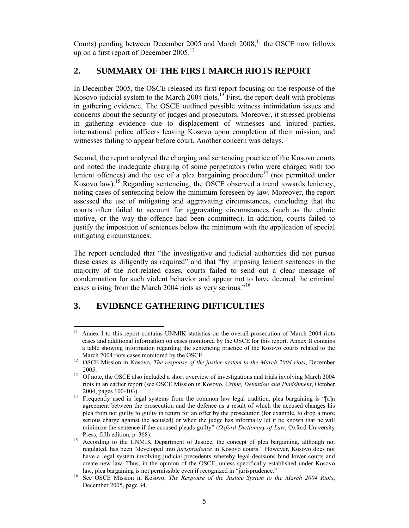Courts) pending between December 2005 and March  $2008$ ,<sup>11</sup> the OSCE now follows up on a first report of December  $2005$ <sup>12</sup>

## **2. SUMMARY OF THE FIRST MARCH RIOTS REPORT**

In December 2005, the OSCE released its first report focusing on the response of the Kosovo judicial system to the March 2004 riots.<sup>13</sup> First, the report dealt with problems in gathering evidence. The OSCE outlined possible witness intimidation issues and concerns about the security of judges and prosecutors. Moreover, it stressed problems in gathering evidence due to displacement of witnesses and injured parties, international police officers leaving Kosovo upon completion of their mission, and witnesses failing to appear before court. Another concern was delays.

Second, the report analyzed the charging and sentencing practice of the Kosovo courts and noted the inadequate charging of some perpetrators (who were charged with too lenient offences) and the use of a plea bargaining procedure<sup>14</sup> (not permitted under Kosovo law).15 Regarding sentencing, the OSCE observed a trend towards leniency, noting cases of sentencing below the minimum foreseen by law. Moreover, the report assessed the use of mitigating and aggravating circumstances, concluding that the courts often failed to account for aggravating circumstances (such as the ethnic motive, or the way the offence had been committed). In addition, courts failed to justify the imposition of sentences below the minimum with the application of special mitigating circumstances.

The report concluded that "the investigative and judicial authorities did not pursue these cases as diligently as required" and that "by imposing lenient sentences in the majority of the riot-related cases, courts failed to send out a clear message of condemnation for such violent behavior and appear not to have deemed the criminal cases arising from the March 2004 riots as very serious."<sup>16</sup>

## **3. EVIDENCE GATHERING DIFFICULTIES**

 $11\,$ Annex I to this report contains UNMIK statistics on the overall prosecution of March 2004 riots cases and additional information on cases monitored by the OSCE for this report. Annex II contains a table showing information regarding the sentencing practice of the Kosovo courts related to the

March 2004 riots cases monitored by the OSCE. 12 OSCE Mission in Kosovo, *The response of the justice system to the March 2004 riots*, December

<sup>2005.&</sup>lt;br><sup>13</sup> Of note, the OSCE also included a short overview of investigations and trials involving March 2004 riots in an earlier report (see OSCE Mission in Kosovo, *Crime, Detention and Punishment*, October

<sup>2004,</sup> pages 100-103).<br><sup>14</sup> Frequently used in legal systems from the common law legal tradition, plea bargaining is "[a]n agreement between the prosecution and the defence as a result of which the accused changes his plea from not guilty to guilty in return for an offer by the prosecution (for example, to drop a more serious charge against the accused) or when the judge has informally let it be known that he will minimize the sentence if the accused pleads guilty" (*Oxford Dictionary of Law*, Oxford University

Press, fifth edition, p. 368). 15 According to the UNMIK Department of Justice, the concept of plea bargaining, although not regulated, has been "developed into *jurisprudence* in Kosovo courts." However, Kosovo does not have a legal system involving judicial precedents whereby legal decisions bind lower courts and create new law. Thus, in the opinion of the OSCE, unless specifically established under Kosovo

law, plea bargaining is not permissible even if recognized in "jurisprudence." 16 See OSCE Mission in Kosovo, *The Response of the Justice System to the March 2004 Riots*, December 2005, page 34.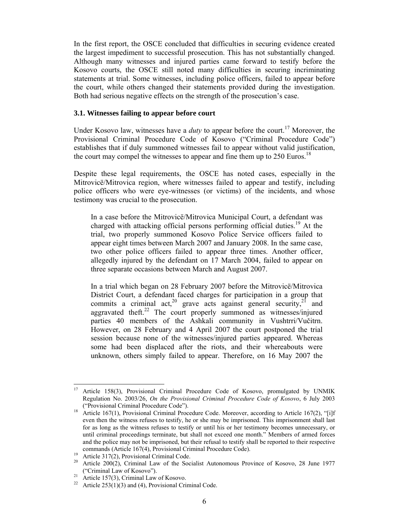In the first report, the OSCE concluded that difficulties in securing evidence created the largest impediment to successful prosecution. This has not substantially changed. Although many witnesses and injured parties came forward to testify before the Kosovo courts, the OSCE still noted many difficulties in securing incriminating statements at trial. Some witnesses, including police officers, failed to appear before the court, while others changed their statements provided during the investigation. Both had serious negative effects on the strength of the prosecution's case.

#### **3.1. Witnesses failing to appear before court**

Under Kosovo law, witnesses have a *duty* to appear before the court.<sup>17</sup> Moreover, the Provisional Criminal Procedure Code of Kosovo ("Criminal Procedure Code") establishes that if duly summoned witnesses fail to appear without valid justification, the court may compel the witnesses to appear and fine them up to 250 Euros.<sup>18</sup>

Despite these legal requirements, the OSCE has noted cases, especially in the Mitrovicë/Mitrovica region, where witnesses failed to appear and testify, including police officers who were eye-witnesses (or victims) of the incidents, and whose testimony was crucial to the prosecution.

In a case before the Mitrovicë/Mitrovica Municipal Court, a defendant was charged with attacking official persons performing official duties.<sup>19</sup> At the trial, two properly summoned Kosovo Police Service officers failed to appear eight times between March 2007 and January 2008. In the same case, two other police officers failed to appear three times. Another officer, allegedly injured by the defendant on 17 March 2004, failed to appear on three separate occasions between March and August 2007.

In a trial which began on 28 February 2007 before the Mitrovicë/Mitrovica District Court, a defendant faced charges for participation in a group that commits a criminal act, $^{20}$  grave acts against general security, $^{21}$  and aggravated theft. $^{22}$  The court properly summoned as witnesses/injured parties 40 members of the Ashkali community in Vushtrri/Vučitrn. However, on 28 February and 4 April 2007 the court postponed the trial session because none of the witnesses/injured parties appeared. Whereas some had been displaced after the riots, and their whereabouts were unknown, others simply failed to appear. Therefore, on 16 May 2007 the

<sup>17</sup> Article 158(3), Provisional Criminal Procedure Code of Kosovo, promulgated by UNMIK Regulation No. 2003/26, *On the Provisional Criminal Procedure Code of Kosovo*, 6 July 2003

<sup>(&</sup>quot;Provisional Criminal Procedure Code"). 18 Article 167(1), Provisional Criminal Procedure Code. Moreover, according to Article 167(2), "[i]f even then the witness refuses to testify, he or she may be imprisoned. This imprisonment shall last for as long as the witness refuses to testify or until his or her testimony becomes unnecessary, or until criminal proceedings terminate, but shall not exceed one month." Members of armed forces and the police may not be imprisoned, but their refusal to testify shall be reported to their respective commands (Article 167(4), Provisional Criminal Procedure Code). 19 Article 317(2), Provisional Criminal Code.

<sup>&</sup>lt;sup>20</sup> Article 200(2), Criminal Law of the Socialist Autonomous Province of Kosovo, 28 June 1977

<sup>(&</sup>quot;Criminal Law of Kosovo").<br><sup>21</sup> Article 157(3), Criminal Law of Kosovo.

<sup>&</sup>lt;sup>22</sup> Article 253(1)(3) and (4), Provisional Criminal Code.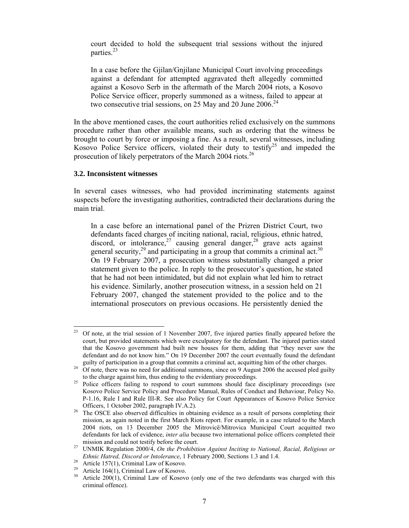court decided to hold the subsequent trial sessions without the injured parties.<sup>23</sup>

In a case before the Gjilan/Gnjilane Municipal Court involving proceedings against a defendant for attempted aggravated theft allegedly committed against a Kosovo Serb in the aftermath of the March 2004 riots, a Kosovo Police Service officer, properly summoned as a witness, failed to appear at two consecutive trial sessions, on 25 May and 20 June 2006.<sup>24</sup>

In the above mentioned cases, the court authorities relied exclusively on the summons procedure rather than other available means, such as ordering that the witness be brought to court by force or imposing a fine. As a result, several witnesses, including Kosovo Police Service officers, violated their duty to testify<sup>25</sup> and impeded the prosecution of likely perpetrators of the March 2004 riots.<sup>26</sup>

#### **3.2. Inconsistent witnesses**

In several cases witnesses, who had provided incriminating statements against suspects before the investigating authorities, contradicted their declarations during the main trial.

In a case before an international panel of the Prizren District Court, two defendants faced charges of inciting national, racial, religious, ethnic hatred, discord, or intolerance,  $27$  causing general danger,  $28$  grave acts against general security,<sup>29</sup> and participating in a group that commits a criminal act.<sup>30</sup> On 19 February 2007, a prosecution witness substantially changed a prior statement given to the police. In reply to the prosecutor's question, he stated that he had not been intimidated, but did not explain what led him to retract his evidence. Similarly, another prosecution witness, in a session held on 21 February 2007, changed the statement provided to the police and to the international prosecutors on previous occasions. He persistently denied the

 $23$ 23 Of note, at the trial session of 1 November 2007, five injured parties finally appeared before the court, but provided statements which were exculpatory for the defendant. The injured parties stated that the Kosovo government had built new houses for them, adding that "they never saw the defendant and do not know him." On 19 December 2007 the court eventually found the defendant

guilty of participation in a group that commits a criminal act, acquitting him of the other charges. 24 Of note, there was no need for additional summons, since on 9 August 2006 the accused pled guilty

to the charge against him, thus ending to the evidentiary proceedings.<br><sup>25</sup> Police officers failing to respond to court summons should face disciplinary proceedings (see Kosovo Police Service Policy and Procedure Manual, Rules of Conduct and Behaviour, Policy No. P-1.16, Rule I and Rule III-R. See also Policy for Court Appearances of Kosovo Police Service

Officers, 1 October 2002, paragraph IV.A.2).<br><sup>26</sup> The OSCE also observed difficulties in obtaining evidence as a result of persons completing their mission, as again noted in the first March Riots report. For example, in a case related to the March 2004 riots, on 13 December 2005 the Mitrovicë/Mitrovica Municipal Court acquitted two defendants for lack of evidence, *inter alia* because two international police officers completed their

mission and could not testify before the court.<br><sup>27</sup> UNMIK Regulation 2000/4, *On the Prohibition Against Inciting to National, Racial, Religious or Ethnic Hatred, Discord or Intolerance*, 1 February 2000, Sections 1.3 and 1.4. 28 Article 157(1), Criminal Law of Kosovo.

<sup>&</sup>lt;sup>29</sup> Article 164(1), Criminal Law of Kosovo.

<sup>30</sup> Article 200(1), Criminal Law of Kosovo (only one of the two defendants was charged with this criminal offence).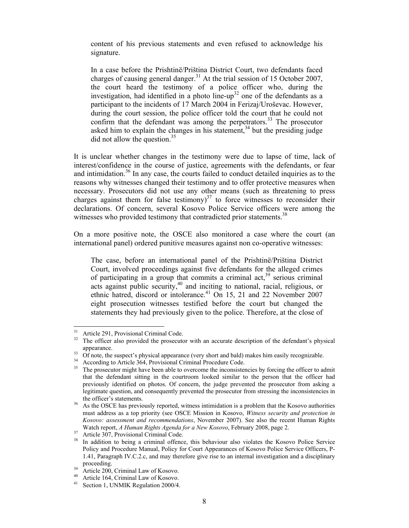content of his previous statements and even refused to acknowledge his signature.

In a case before the Prishtinë/Priština District Court, two defendants faced charges of causing general danger.<sup>31</sup> At the trial session of 15 October 2007, the court heard the testimony of a police officer who, during the investigation, had identified in a photo line-up<sup>32</sup> one of the defendants as a participant to the incidents of 17 March 2004 in Ferizaj/Uroševac. However, during the court session, the police officer told the court that he could not confirm that the defendant was among the perpetrators.<sup>33</sup> The prosecutor asked him to explain the changes in his statement,<sup>34</sup> but the presiding judge did not allow the question.<sup>35</sup>

It is unclear whether changes in the testimony were due to lapse of time, lack of interest/confidence in the course of justice, agreements with the defendants, or fear and intimidation.<sup>36</sup> In any case, the courts failed to conduct detailed inquiries as to the reasons why witnesses changed their testimony and to offer protective measures when necessary. Prosecutors did not use any other means (such as threatening to press charges against them for false testimony) $3^7$  to force witnesses to reconsider their declarations. Of concern, several Kosovo Police Service officers were among the witnesses who provided testimony that contradicted prior statements.<sup>38</sup>

On a more positive note, the OSCE also monitored a case where the court (an international panel) ordered punitive measures against non co-operative witnesses:

The case, before an international panel of the Prishtinë/Priština District Court, involved proceedings against five defendants for the alleged crimes of participating in a group that commits a criminal  $\text{act}^{39}$  serious criminal acts against public security,<sup>40</sup> and inciting to national, racial, religious, or ethnic hatred, discord or intolerance.<sup>41</sup> On 15, 21 and 22 November 2007 eight prosecution witnesses testified before the court but changed the statements they had previously given to the police. Therefore, at the close of

 $31$  $31 \n31$  Article 291, Provisional Criminal Code.

The officer also provided the prosecutor with an accurate description of the defendant's physical

appearance.<br>33 Of note, the suspect's physical appearance (very short and bald) makes him easily recognizable.

 $34$  According to Article  $364$ , Provisional Criminal Procedure Code.

The prosecutor might have been able to overcome the inconsistencies by forcing the officer to admit that the defendant sitting in the courtroom looked similar to the person that the officer had previously identified on photos. Of concern, the judge prevented the prosecutor from asking a legitimate question, and consequently prevented the prosecutor from stressing the inconsistencies in the officer's statements.<br>As the OSCE has previously reported, witness intimidation is a problem that the Kosovo authorities

must address as a top priority (see OSCE Mission in Kosovo, *Witness security and protection in Kosovo: assessment and recommendations*, November 2007). See also the recent Human Rights Watch report, *A Human Rights Agenda for a New Kosovo*, February 2008, page 2. Article 307, Provisional Criminal Code.

In addition to being a criminal offence, this behaviour also violates the Kosovo Police Service Policy and Procedure Manual, Policy for Court Appearances of Kosovo Police Service Officers, P-1.41, Paragraph IV.C.2.c, and may therefore give rise to an internal investigation and a disciplinary proceeding.<br>
<sup>39</sup> Article 200, Criminal Law of Kosovo.<br>
<sup>40</sup> Article 164. Given the LH

<sup>&</sup>lt;sup>40</sup> Article 164, Criminal Law of Kosovo.<br><sup>41</sup> Section 1, UNMIK Begulation 2000/4.

Section 1, UNMIK Regulation 2000/4.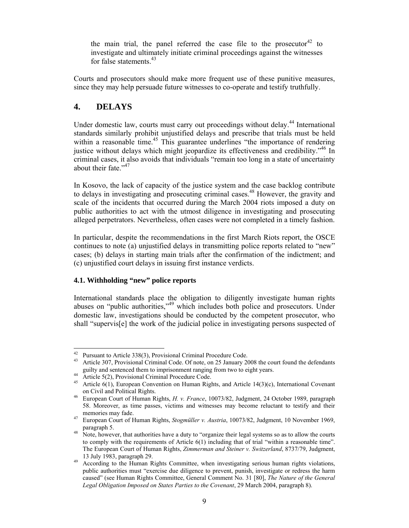the main trial, the panel referred the case file to the prosecutor<sup>42</sup> to investigate and ultimately initiate criminal proceedings against the witnesses for false statements.<sup>43</sup>

Courts and prosecutors should make more frequent use of these punitive measures, since they may help persuade future witnesses to co-operate and testify truthfully.

### **4. DELAYS**

Under domestic law, courts must carry out proceedings without delay.<sup>44</sup> International standards similarly prohibit unjustified delays and prescribe that trials must be held within a reasonable time.<sup>45</sup> This guarantee underlines "the importance of rendering justice without delays which might jeopardize its effectiveness and credibility.<sup>346</sup> In criminal cases, it also avoids that individuals "remain too long in a state of uncertainty about their fate." $47$ 

In Kosovo, the lack of capacity of the justice system and the case backlog contribute to delays in investigating and prosecuting criminal cases.<sup>48</sup> However, the gravity and scale of the incidents that occurred during the March 2004 riots imposed a duty on public authorities to act with the utmost diligence in investigating and prosecuting alleged perpetrators. Nevertheless, often cases were not completed in a timely fashion.

In particular, despite the recommendations in the first March Riots report, the OSCE continues to note (a) unjustified delays in transmitting police reports related to "new" cases; (b) delays in starting main trials after the confirmation of the indictment; and (c) unjustified court delays in issuing first instance verdicts.

#### **4.1. Withholding "new" police reports**

International standards place the obligation to diligently investigate human rights abuses on "public authorities,"49 which includes both police and prosecutors. Under domestic law, investigations should be conducted by the competent prosecutor, who shall "supervis[e] the work of the judicial police in investigating persons suspected of

<sup>42</sup> <sup>42</sup> Pursuant to Article 338(3), Provisional Criminal Procedure Code.<br><sup>43</sup> Article 307 Provisional Criminal Code. Of note on 25 January 20

Article 307, Provisional Criminal Code. Of note, on 25 January 2008 the court found the defendants guilty and sentenced them to imprisonment ranging from two to eight years. 44 Article 5(2), Provisional Criminal Procedure Code.

<sup>&</sup>lt;sup>45</sup> Article  $6(1)$ , European Convention on Human Rights, and Article 14(3)(c), International Covenant

on Civil and Political Rights. 46 European Court of Human Rights, *H. v. France*, 10073/82, Judgment, 24 October 1989, paragraph 58. Moreover, as time passes, victims and witnesses may become reluctant to testify and their

memories may fade.<br><sup>47</sup> European Court of Human Rights, *Stogmüller v. Austria*, 10073/82, Judgment, 10 November 1969, paragraph 5.

 $148$  Note, however, that authorities have a duty to "organize their legal systems so as to allow the courts to comply with the requirements of Article 6(1) including that of trial "within a reasonable time". The European Court of Human Rights, *Zimmerman and Steiner v. Switzerland*, 8737/79, Judgment,

<sup>13</sup> July 1983, paragraph 29.  $\frac{49}{4}$  According to the Human Rights Committee, when investigating serious human rights violations, public authorities must "exercise due diligence to prevent, punish, investigate or redress the harm caused" (see Human Rights Committee, General Comment No. 31 [80], *The Nature of the General Legal Obligation Imposed on States Parties to the Covenant*, 29 March 2004, paragraph 8).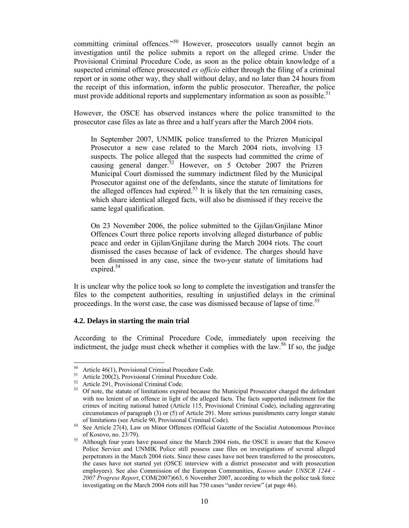committing criminal offences."<sup>50</sup> However, prosecutors usually cannot begin an investigation until the police submits a report on the alleged crime. Under the Provisional Criminal Procedure Code, as soon as the police obtain knowledge of a suspected criminal offence prosecuted *ex officio* either through the filing of a criminal report or in some other way, they shall without delay, and no later than 24 hours from the receipt of this information, inform the public prosecutor. Thereafter, the police must provide additional reports and supplementary information as soon as possible.<sup>51</sup>

However, the OSCE has observed instances where the police transmitted to the prosecutor case files as late as three and a half years after the March 2004 riots.

In September 2007, UNMIK police transferred to the Prizren Municipal Prosecutor a new case related to the March 2004 riots, involving 13 suspects. The police alleged that the suspects had committed the crime of causing general danger.<sup>52</sup> However, on 5 October 2007 the Prizren Municipal Court dismissed the summary indictment filed by the Municipal Prosecutor against one of the defendants, since the statute of limitations for the alleged offences had expired.<sup>53</sup> It is likely that the ten remaining cases, which share identical alleged facts, will also be dismissed if they receive the same legal qualification.

On 23 November 2006, the police submitted to the Gjilan/Gnjilane Minor Offences Court three police reports involving alleged disturbance of public peace and order in Gjilan/Gnjilane during the March 2004 riots. The court dismissed the cases because of lack of evidence. The charges should have been dismissed in any case, since the two-year statute of limitations had expired.<sup>54</sup>

It is unclear why the police took so long to complete the investigation and transfer the files to the competent authorities, resulting in unjustified delays in the criminal proceedings. In the worst case, the case was dismissed because of lapse of time.<sup>55</sup>

#### **4.2. Delays in starting the main trial**

According to the Criminal Procedure Code, immediately upon receiving the indictment, the judge must check whether it complies with the law.<sup>56</sup> If so, the judge

 $50$  Article 46(1), Provisional Criminal Procedure Code.

<sup>&</sup>lt;sup>51</sup> Article 200(2), Provisional Criminal Procedure Code.

 $52$  Article 291, Provisional Criminal Code.

<sup>53</sup> Of note, the statute of limitations expired because the Municipal Prosecutor charged the defendant with too lenient of an offence in light of the alleged facts. The facts supported indictment for the crimes of inciting national hatred (Article 115, Provisional Criminal Code), including aggravating circumstances of paragraph (3) or (5) of Article 291. More serious punishments carry longer statute of limitations (see Article 90, Provisional Criminal Code). 54 See Article 27(4), Law on Minor Offences (Official Gazette of the Socialist Autonomous Province

of Kosovo, no. 23/79). 55 Although four years have passed since the March 2004 riots, the OSCE is aware that the Kosovo Police Service and UNMIK Police still possess case files on investigations of several alleged perpetrators in the March 2004 riots. Since these cases have not been transferred to the prosecutors, the cases have not started yet (OSCE interview with a district prosecutor and with prosecution employees). See also Commission of the European Communities, *Kosovo under UNSCR 1244 - 2007 Progress Report*, COM(2007)663, 6 November 2007, according to which the police task force investigating on the March 2004 riots still has 750 cases "under review" (at page 46).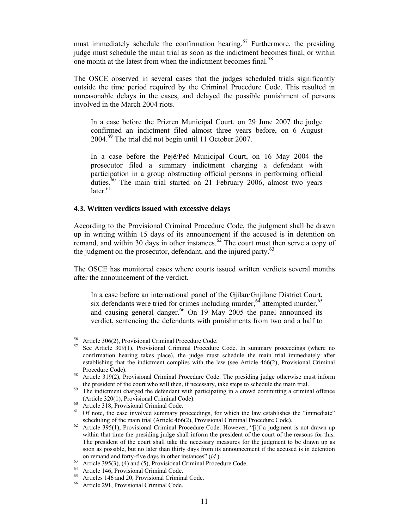must immediately schedule the confirmation hearing.<sup>57</sup> Furthermore, the presiding judge must schedule the main trial as soon as the indictment becomes final, or within one month at the latest from when the indictment becomes final.<sup>58</sup>

The OSCE observed in several cases that the judges scheduled trials significantly outside the time period required by the Criminal Procedure Code. This resulted in unreasonable delays in the cases, and delayed the possible punishment of persons involved in the March 2004 riots.

In a case before the Prizren Municipal Court, on 29 June 2007 the judge confirmed an indictment filed almost three years before, on 6 August 2004.59 The trial did not begin until 11 October 2007.

In a case before the Pejë/Peć Municipal Court, on 16 May 2004 the prosecutor filed a summary indictment charging a defendant with participation in a group obstructing official persons in performing official duties.<sup>60</sup> The main trial started on 21 February 2006, almost two years  $later.<sup>61</sup>$ 

#### **4.3. Written verdicts issued with excessive delays**

According to the Provisional Criminal Procedure Code, the judgment shall be drawn up in writing within 15 days of its announcement if the accused is in detention on remand, and within 30 days in other instances. $62$  The court must then serve a copy of the judgment on the prosecutor, defendant, and the injured party.<sup>63</sup>

The OSCE has monitored cases where courts issued written verdicts several months after the announcement of the verdict.

In a case before an international panel of the Gjilan/Gnjilane District Court, six defendants were tried for crimes including murder,<sup>64</sup> attempted murder,<sup>65</sup> and causing general danger.<sup>66</sup> On 19 May 2005 the panel announced its verdict, sentencing the defendants with punishments from two and a half to

<sup>&</sup>lt;sup>56</sup> Article 306(2), Provisional Criminal Procedure Code.<br><sup>57</sup> See Article 200(1), Provisional Criminal Procedure

See Article 309(1), Provisional Criminal Procedure Code. In summary proceedings (where no confirmation hearing takes place), the judge must schedule the main trial immediately after establishing that the indictment complies with the law (see Article 466(2), Provisional Criminal Procedure Code).<br><sup>58</sup> Article 319(2), Provisional Criminal Procedure Code. The presiding judge otherwise must inform

the president of the court who will then, if necessary, take steps to schedule the main trial.<br><sup>59</sup> The indictment charged the defendant with participating in a crowd committing a criminal offence

<sup>(</sup>Article 320(1), Provisional Criminal Code).<br>
60 Article 318, Provisional Criminal Code.<br>
61 Of note the aggs involved summary proces

<sup>61</sup> Of note, the case involved summary proceedings, for which the law establishes the "immediate" scheduling of the main trial (Article 466(2), Provisional Criminal Procedure Code).<br><sup>62</sup> Article 395(1), Provisional Criminal Procedure Code. However, "[i]f a judgment is not drawn up

within that time the presiding judge shall inform the president of the court of the reasons for this. The president of the court shall take the necessary measures for the judgment to be drawn up as soon as possible, but no later than thirty days from its announcement if the accused is in detention

on remand and forty-five days in other instances" (*id.*). 63 Article 395(3), (4) and (5), Provisional Criminal Procedure Code.

<sup>64</sup> Article 146, Provisional Criminal Code.

<sup>65</sup> Articles 146 and 20, Provisional Criminal Code.

<sup>66</sup> Article 291, Provisional Criminal Code.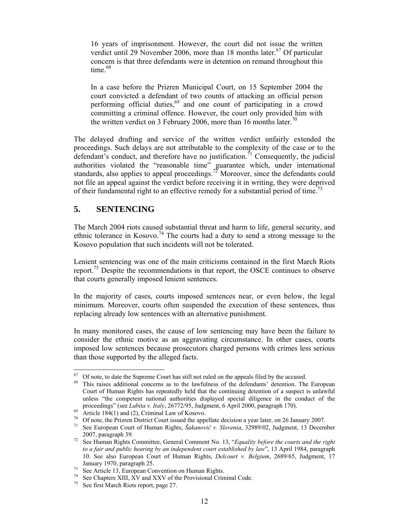16 years of imprisonment. However, the court did not issue the written verdict until 29 November 2006, more than 18 months later.<sup>67</sup> Of particular concern is that three defendants were in detention on remand throughout this time.<sup>68</sup>

In a case before the Prizren Municipal Court, on 15 September 2004 the court convicted a defendant of two counts of attacking an official person performing official duties,<sup>69</sup> and one count of participating in a crowd committing a criminal offence. However, the court only provided him with the written verdict on 3 February 2006, more than 16 months later.<sup>70</sup>

The delayed drafting and service of the written verdict unfairly extended the proceedings. Such delays are not attributable to the complexity of the case or to the defendant's conduct, and therefore have no justification.<sup>71</sup> Consequently, the judicial authorities violated the "reasonable time" guarantee which, under international standards, also applies to appeal proceedings.<sup>72</sup> Moreover, since the defendants could not file an appeal against the verdict before receiving it in writing, they were deprived of their fundamental right to an effective remedy for a substantial period of time.<sup>73</sup>

## **5. SENTENCING**

The March 2004 riots caused substantial threat and harm to life, general security, and ethnic tolerance in Kosovo.<sup>74</sup> The courts had a duty to send a strong message to the Kosovo population that such incidents will not be tolerated.

Lenient sentencing was one of the main criticisms contained in the first March Riots report.75 Despite the recommendations in that report, the OSCE continues to observe that courts generally imposed lenient sentences.

In the majority of cases, courts imposed sentences near, or even below, the legal minimum. Moreover, courts often suspended the execution of these sentences, thus replacing already low sentences with an alternative punishment.

In many monitored cases, the cause of low sentencing may have been the failure to consider the ethnic motive as an aggravating circumstance. In other cases, courts imposed low sentences because prosecutors charged persons with crimes less serious than those supported by the alleged facts.

<sup>67</sup>  $^{67}$  Of note, to date the Supreme Court has still not ruled on the appeals filed by the accused.<br> $^{68}$  This raises additional experts as to the lowfulness of the defendants' detention. The

This raises additional concerns as to the lawfulness of the defendants' detention. The European Court of Human Rights has repeatedly held that the continuing detention of a suspect is unlawful unless "the competent national authorities displayed special diligence in the conduct of the proceedings" (see *Labita v. Italy*, 26772/95, Judgment, 6 April 2000, paragraph 170).<br>Article 184(1) and (2), Criminal Law of Kosovo.

<sup>&</sup>lt;sup>70</sup> Of note, the Prizren District Court issued the appellate decision a year later, on 26 January 2007.<br><sup>71</sup> See European Court of Human Bights, *Šakanovič v. Slovenig*, 22080/02, Judgment, 13 Decem

<sup>71</sup> See European Court of Human Rights, *Šakanovič v. Slovenia*, 32989/02, Judgment, 13 December 2007, paragraph 39. 72 See Human Rights Committee, General Comment No. 13, "*Equality before the courts and the right* 

*to a fair and public hearing by an independent court established by law*", 13 April 1984, paragraph 10. See also European Court of Human Rights, *Delcourt v. Belgium*, 2689/65, Judgment, 17

January 1970, paragraph 25. 73 See Article 13, European Convention on Human Rights.

<sup>74</sup> See Chapters XIII, XV and XXV of the Provisional Criminal Code.

<sup>75</sup> See first March Riots report, page 27.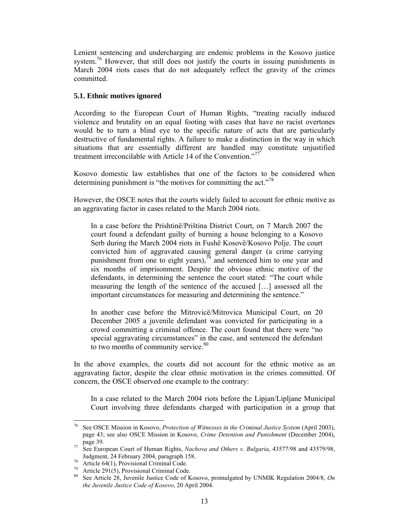Lenient sentencing and undercharging are endemic problems in the Kosovo justice system.<sup>76</sup> However, that still does not justify the courts in issuing punishments in March 2004 riots cases that do not adequately reflect the gravity of the crimes committed.

#### **5.1. Ethnic motives ignored**

According to the European Court of Human Rights, "treating racially induced violence and brutality on an equal footing with cases that have no racist overtones would be to turn a blind eye to the specific nature of acts that are particularly destructive of fundamental rights. A failure to make a distinction in the way in which situations that are essentially different are handled may constitute unjustified treatment irreconcilable with Article 14 of the Convention."<sup>77</sup>

Kosovo domestic law establishes that one of the factors to be considered when determining punishment is "the motives for committing the act."<sup>78</sup>

However, the OSCE notes that the courts widely failed to account for ethnic motive as an aggravating factor in cases related to the March 2004 riots.

In a case before the Prishtinë/Priština District Court, on 7 March 2007 the court found a defendant guilty of burning a house belonging to a Kosovo Serb during the March 2004 riots in Fushë Kosovë/Kosovo Polje. The court convicted him of aggravated causing general danger (a crime carrying punishment from one to eight years), $\sqrt[7]{\ }$  and sentenced him to one year and six months of imprisonment. Despite the obvious ethnic motive of the defendants, in determining the sentence the court stated: "The court while measuring the length of the sentence of the accused […] assessed all the important circumstances for measuring and determining the sentence."

In another case before the Mitrovicë/Mitrovica Municipal Court, on 20 December 2005 a juvenile defendant was convicted for participating in a crowd committing a criminal offence. The court found that there were "no special aggravating circumstances" in the case, and sentenced the defendant to two months of community service.<sup>80</sup>

In the above examples, the courts did not account for the ethnic motive as an aggravating factor, despite the clear ethnic motivation in the crimes committed. Of concern, the OSCE observed one example to the contrary:

In a case related to the March 2004 riots before the Lipjan/Lipljane Municipal Court involving three defendants charged with participation in a group that

 $76\,$ 76 See OSCE Mission in Kosovo, *Protection of Witnesses in the Criminal Justice System* (April 2003), page 43; see also OSCE Mission in Kosovo, *Crime Detention and Punishment* (December 2004),

page 39. 77 See European Court of Human Rights, *Nachova and Others v. Bulgaria*, 43577/98 and 43579/98,

Judgment, 24 February 2004, paragraph 158. 78 Article 64(1), Provisional Criminal Code.

<sup>&</sup>lt;sup>79</sup> Article 291(5), Provisional Criminal Code.

<sup>80</sup> See Article 28, Juvenile Justice Code of Kosovo, promulgated by UNMIK Regulation 2004/8, *On the Juvenile Justice Code of Kosovo*, 20 April 2004.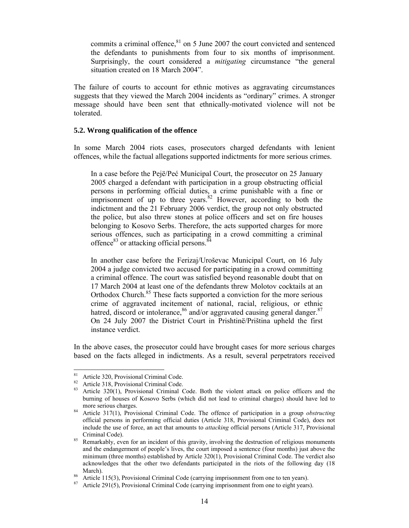commits a criminal offence, $81$  on 5 June 2007 the court convicted and sentenced the defendants to punishments from four to six months of imprisonment. Surprisingly, the court considered a *mitigating* circumstance "the general situation created on 18 March 2004".

The failure of courts to account for ethnic motives as aggravating circumstances suggests that they viewed the March 2004 incidents as "ordinary" crimes. A stronger message should have been sent that ethnically-motivated violence will not be tolerated.

#### **5.2. Wrong qualification of the offence**

In some March 2004 riots cases, prosecutors charged defendants with lenient offences, while the factual allegations supported indictments for more serious crimes.

In a case before the Pejë/Peć Municipal Court, the prosecutor on 25 January 2005 charged a defendant with participation in a group obstructing official persons in performing official duties, a crime punishable with a fine or imprisonment of up to three years. $82$  However, according to both the indictment and the 21 February 2006 verdict, the group not only obstructed the police, but also threw stones at police officers and set on fire houses belonging to Kosovo Serbs. Therefore, the acts supported charges for more serious offences, such as participating in a crowd committing a criminal offence $83$  or attacking official persons. $84$ 

In another case before the Ferizaj/Uroševac Municipal Court, on 16 July 2004 a judge convicted two accused for participating in a crowd committing a criminal offence. The court was satisfied beyond reasonable doubt that on 17 March 2004 at least one of the defendants threw Molotov cocktails at an Orthodox Church.<sup>85</sup> These facts supported a conviction for the more serious crime of aggravated incitement of national, racial, religious, or ethnic hatred, discord or intolerance,  $86$  and/or aggravated causing general danger.  $87$ On 24 July 2007 the District Court in Prishtinë/Priština upheld the first instance verdict.

In the above cases, the prosecutor could have brought cases for more serious charges based on the facts alleged in indictments. As a result, several perpetrators received

<sup>81</sup> Article 320, Provisional Criminal Code.

<sup>&</sup>lt;sup>82</sup> Article 318, Provisional Criminal Code.<br><sup>83</sup> Article 320(1) Provisional Criminal C

<sup>83</sup> Article 320(1), Provisional Criminal Code. Both the violent attack on police officers and the burning of houses of Kosovo Serbs (which did not lead to criminal charges) should have led to

more serious charges. 84 Article 317(1), Provisional Criminal Code. The offence of participation in a group *obstructing* official persons in performing official duties (Article 318, Provisional Criminal Code), does not include the use of force, an act that amounts to *attacking* official persons (Article 317, Provisional Criminal Code).<br><sup>85</sup> Remarkably, even for an incident of this gravity, involving the destruction of religious monuments

and the endangerment of people's lives, the court imposed a sentence (four months) just above the minimum (three months) established by Article 320(1), Provisional Criminal Code. The verdict also acknowledges that the other two defendants participated in the riots of the following day (18 March).<br><sup>86</sup> Article 115(3), Provisional Criminal Code (carrying imprisonment from one to ten years).<br><sup>87</sup> Article 2015). Provisional Criminal Code (carrying imprisonment from and to sight years).

Article 291(5), Provisional Criminal Code (carrying imprisonment from one to eight years).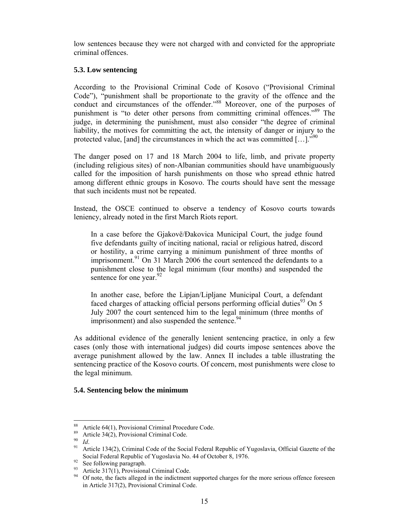low sentences because they were not charged with and convicted for the appropriate criminal offences.

#### **5.3. Low sentencing**

According to the Provisional Criminal Code of Kosovo ("Provisional Criminal Code"), "punishment shall be proportionate to the gravity of the offence and the conduct and circumstances of the offender."<sup>88</sup> Moreover, one of the purposes of punishment is "to deter other persons from committing criminal offences."<sup>89</sup> The judge, in determining the punishment, must also consider "the degree of criminal liability, the motives for committing the act, the intensity of danger or injury to the protected value, [and] the circumstances in which the act was committed  $[...]$ ."<sup>90</sup>

The danger posed on 17 and 18 March 2004 to life, limb, and private property (including religious sites) of non-Albanian communities should have unambiguously called for the imposition of harsh punishments on those who spread ethnic hatred among different ethnic groups in Kosovo. The courts should have sent the message that such incidents must not be repeated.

Instead, the OSCE continued to observe a tendency of Kosovo courts towards leniency, already noted in the first March Riots report.

In a case before the Gjakovë/Đakovica Municipal Court, the judge found five defendants guilty of inciting national, racial or religious hatred, discord or hostility, a crime carrying a minimum punishment of three months of imprisonment.<sup>91</sup> On 31 March 2006 the court sentenced the defendants to a punishment close to the legal minimum (four months) and suspended the sentence for one year. $92$ 

In another case, before the Lipjan/Lipljane Municipal Court, a defendant faced charges of attacking official persons performing official duties<sup>93</sup> On 5 July 2007 the court sentenced him to the legal minimum (three months of imprisonment) and also suspended the sentence.<sup>94</sup>

As additional evidence of the generally lenient sentencing practice, in only a few cases (only those with international judges) did courts impose sentences above the average punishment allowed by the law. Annex II includes a table illustrating the sentencing practice of the Kosovo courts. Of concern, most punishments were close to the legal minimum.

#### **5.4. Sentencing below the minimum**

<sup>88</sup> <sup>88</sup> Article 64(1), Provisional Criminal Procedure Code.

<sup>&</sup>lt;sup>89</sup> Article 34(2), Provisional Criminal Code.

<sup>&</sup>lt;sup>90</sup>*Id.*<br><sup>91</sup> Article 134(2), Criminal Code of the Social Federal Republic of Yugoslavia, Official Gazette of the Social Federal Republic of Yugoslavia No. 44 of October 8, 1976.<br>See following paragraph.

<sup>&</sup>lt;sup>93</sup> Article 317(1), Provisional Criminal Code.

<sup>94</sup> Of note, the facts alleged in the indictment supported charges for the more serious offence foreseen in Article 317(2), Provisional Criminal Code.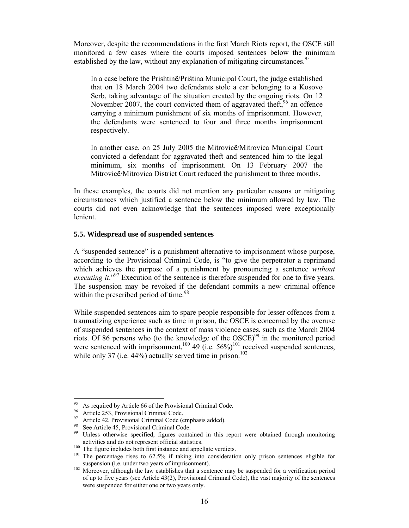Moreover, despite the recommendations in the first March Riots report, the OSCE still monitored a few cases where the courts imposed sentences below the minimum established by the law, without any explanation of mitigating circumstances.<sup>95</sup>

In a case before the Prishtinë/Priština Municipal Court, the judge established that on 18 March 2004 two defendants stole a car belonging to a Kosovo Serb, taking advantage of the situation created by the ongoing riots. On 12 November 2007, the court convicted them of aggravated theft,  $96$  an offence carrying a minimum punishment of six months of imprisonment. However, the defendants were sentenced to four and three months imprisonment respectively.

In another case, on 25 July 2005 the Mitrovicë/Mitrovica Municipal Court convicted a defendant for aggravated theft and sentenced him to the legal minimum, six months of imprisonment. On 13 February 2007 the Mitrovicë/Mitrovica District Court reduced the punishment to three months.

In these examples, the courts did not mention any particular reasons or mitigating circumstances which justified a sentence below the minimum allowed by law. The courts did not even acknowledge that the sentences imposed were exceptionally lenient.

#### **5.5. Widespread use of suspended sentences**

A "suspended sentence" is a punishment alternative to imprisonment whose purpose, according to the Provisional Criminal Code, is "to give the perpetrator a reprimand which achieves the purpose of a punishment by pronouncing a sentence *without executing it.*"<sup>97</sup> Execution of the sentence is therefore suspended for one to five years. The suspension may be revoked if the defendant commits a new criminal offence within the prescribed period of time.<sup>98</sup>

While suspended sentences aim to spare people responsible for lesser offences from a traumatizing experience such as time in prison, the OSCE is concerned by the overuse of suspended sentences in the context of mass violence cases, such as the March 2004 riots. Of 86 persons who (to the knowledge of the OSCE)<sup>99</sup> in the monitored period were sentenced with imprisonment,<sup>100</sup> 49 (i.e.  $56\%$ )<sup>101</sup> received suspended sentences, while only 37 (i.e.  $44\%$ ) actually served time in prison.<sup>102</sup>

<sup>95</sup> As required by Article 66 of the Provisional Criminal Code.

<sup>&</sup>lt;sup>96</sup> Article 253, Provisional Criminal Code.

<sup>&</sup>lt;sup>97</sup> Article 42, Provisional Criminal Code (emphasis added).

See Article 45, Provisional Criminal Code.

<sup>&</sup>lt;sup>99</sup> Unless otherwise specified, figures contained in this report were obtained through monitoring

activities and do not represent official statistics.<br><sup>100</sup> The figure includes both first instance and appellate verdicts.<br><sup>101</sup> The percentage rises to 62.5% if taking into consideration only prison sentences eligible fo

suspension (i.e. under two years of imprisonment). 102 Moreover, although the law establishes that a sentence may be suspended for a verification period of up to five years (see Article 43(2), Provisional Criminal Code), the vast majority of the sentences were suspended for either one or two years only.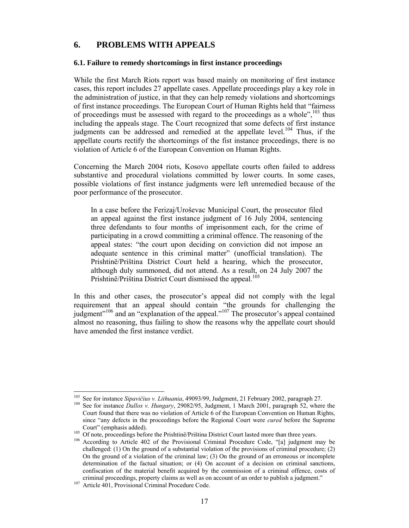## **6. PROBLEMS WITH APPEALS**

#### **6.1. Failure to remedy shortcomings in first instance proceedings**

While the first March Riots report was based mainly on monitoring of first instance cases, this report includes 27 appellate cases. Appellate proceedings play a key role in the administration of justice, in that they can help remedy violations and shortcomings of first instance proceedings. The European Court of Human Rights held that "fairness of proceedings must be assessed with regard to the proceedings as a whole", $^{103}$  thus including the appeals stage. The Court recognized that some defects of first instance judgments can be addressed and remedied at the appellate level.<sup>104</sup> Thus, if the appellate courts rectify the shortcomings of the fist instance proceedings, there is no violation of Article 6 of the European Convention on Human Rights.

Concerning the March 2004 riots, Kosovo appellate courts often failed to address substantive and procedural violations committed by lower courts. In some cases, possible violations of first instance judgments were left unremedied because of the poor performance of the prosecutor.

In a case before the Ferizaj/Uroševac Municipal Court, the prosecutor filed an appeal against the first instance judgment of 16 July 2004, sentencing three defendants to four months of imprisonment each, for the crime of participating in a crowd committing a criminal offence. The reasoning of the appeal states: "the court upon deciding on conviction did not impose an adequate sentence in this criminal matter" (unofficial translation). The Prishtinë/Priština District Court held a hearing, which the prosecutor, although duly summoned, did not attend. As a result, on 24 July 2007 the Prishtinë/Priština District Court dismissed the appeal.<sup>165</sup>

In this and other cases, the prosecutor's appeal did not comply with the legal requirement that an appeal should contain "the grounds for challenging the judgment"106 and an "explanation of the appeal."107 The prosecutor's appeal contained almost no reasoning, thus failing to show the reasons why the appellate court should have amended the first instance verdict.

<sup>&</sup>lt;sup>103</sup> See for instance *Sipavičius v. Lithuania*, 49093/99, Judgment, 21 February 2002, paragraph 27.<br><sup>104</sup> See for instance *Dallos v. Hungary*, 29082/95, Judgment, 1 March 2001, paragraph 52, where the Court found that there was no violation of Article 6 of the European Convention on Human Rights, since "any defects in the proceedings before the Regional Court were *cured* before the Supreme

Court" (emphasis added).<br><sup>105</sup> Of note, proceedings before the Prishtinë/Priština District Court lasted more than three years.<br><sup>106</sup> According to Article 402 of the Provisional Criminal Procedure Code, "[a] judgment may be challenged: (1) On the ground of a substantial violation of the provisions of criminal procedure; (2) On the ground of a violation of the criminal law; (3) On the ground of an erroneous or incomplete determination of the factual situation; or (4) On account of a decision on criminal sanctions, confiscation of the material benefit acquired by the commission of a criminal offence, costs of criminal proceedings, property claims as well as on account of an order to publish a judgment." 107 Article 401, Provisional Criminal Procedure Code.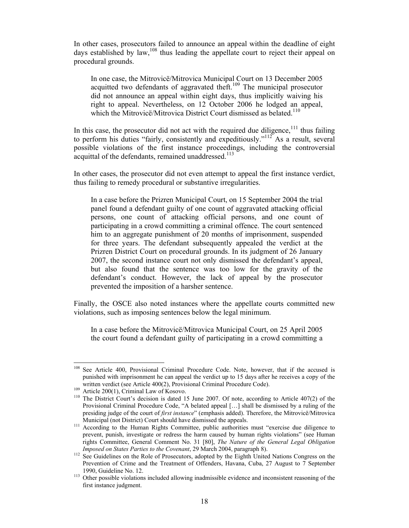In other cases, prosecutors failed to announce an appeal within the deadline of eight days established by law,  $108$  thus leading the appellate court to reject their appeal on procedural grounds.

In one case, the Mitrovicë/Mitrovica Municipal Court on 13 December 2005 acquitted two defendants of aggravated theft.<sup>109</sup> The municipal prosecutor did not announce an appeal within eight days, thus implicitly waiving his right to appeal. Nevertheless, on 12 October 2006 he lodged an appeal, which the Mitrovicë/Mitrovica District Court dismissed as belated.<sup>110</sup>

In this case, the prosecutor did not act with the required due diligence, $111$  thus failing to perform his duties "fairly, consistently and expeditiously."<sup>112</sup> As a result, several possible violations of the first instance proceedings, including the controversial acquittal of the defendants, remained unaddressed.<sup>113</sup>

In other cases, the prosecutor did not even attempt to appeal the first instance verdict, thus failing to remedy procedural or substantive irregularities.

In a case before the Prizren Municipal Court, on 15 September 2004 the trial panel found a defendant guilty of one count of aggravated attacking official persons, one count of attacking official persons, and one count of participating in a crowd committing a criminal offence. The court sentenced him to an aggregate punishment of 20 months of imprisonment, suspended for three years. The defendant subsequently appealed the verdict at the Prizren District Court on procedural grounds. In its judgment of 26 January 2007, the second instance court not only dismissed the defendant's appeal, but also found that the sentence was too low for the gravity of the defendant's conduct. However, the lack of appeal by the prosecutor prevented the imposition of a harsher sentence.

Finally, the OSCE also noted instances where the appellate courts committed new violations, such as imposing sentences below the legal minimum.

In a case before the Mitrovicë/Mitrovica Municipal Court, on 25 April 2005 the court found a defendant guilty of participating in a crowd committing a

<sup>108</sup> See Article 400, Provisional Criminal Procedure Code. Note, however, that if the accused is punished with imprisonment he can appeal the verdict up to 15 days after he receives a copy of the written verdict (see Article 400(2), Provisional Criminal Procedure Code).

written verdict (see Article 400(2), Provisional Criminal Procedure Code). 109 Article 2001, Criminal Law of Kosovo. 110 The District Court's decision is dated 15 June 2007. Of note, according to Article 407(2) of the Provisional Criminal Procedure Code, "A belated appeal […] shall be dismissed by a ruling of the presiding judge of the court of *first instance*" (emphasis added). Therefore, the Mitrovicë/Mitrovica

Municipal (not District) Court should have dismissed the appeals.<br><sup>111</sup> According to the Human Rights Committee, public authorities must "exercise due diligence to prevent, punish, investigate or redress the harm caused by human rights violations" (see Human rights Committee, General Comment No. 31 [80], *The Nature of the General Legal Obligation* 

*Imposed on States Parties to the Covenant*, 29 March 2004, paragraph 8).<br><sup>112</sup> See Guidelines on the Role of Prosecutors, adopted by the Eighth United Nations Congress on the Prevention of Crime and the Treatment of Offenders, Havana, Cuba, 27 August to 7 September

<sup>1990,</sup> Guideline No. 12. 113 Other possible violations included allowing inadmissible evidence and inconsistent reasoning of the first instance judgment.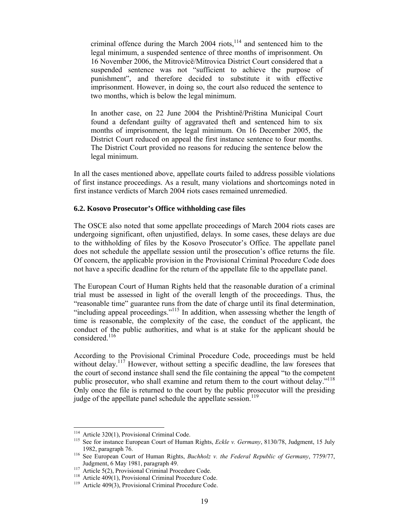criminal offence during the March 2004 riots, $114$  and sentenced him to the legal minimum, a suspended sentence of three months of imprisonment. On 16 November 2006, the Mitrovicë/Mitrovica District Court considered that a suspended sentence was not "sufficient to achieve the purpose of punishment", and therefore decided to substitute it with effective imprisonment. However, in doing so, the court also reduced the sentence to two months, which is below the legal minimum.

In another case, on 22 June 2004 the Prishtinë/Priština Municipal Court found a defendant guilty of aggravated theft and sentenced him to six months of imprisonment, the legal minimum. On 16 December 2005, the District Court reduced on appeal the first instance sentence to four months. The District Court provided no reasons for reducing the sentence below the legal minimum.

In all the cases mentioned above, appellate courts failed to address possible violations of first instance proceedings. As a result, many violations and shortcomings noted in first instance verdicts of March 2004 riots cases remained unremedied.

#### **6.2. Kosovo Prosecutor's Office withholding case files**

The OSCE also noted that some appellate proceedings of March 2004 riots cases are undergoing significant, often unjustified, delays. In some cases, these delays are due to the withholding of files by the Kosovo Prosecutor's Office. The appellate panel does not schedule the appellate session until the prosecution's office returns the file. Of concern, the applicable provision in the Provisional Criminal Procedure Code does not have a specific deadline for the return of the appellate file to the appellate panel.

The European Court of Human Rights held that the reasonable duration of a criminal trial must be assessed in light of the overall length of the proceedings. Thus, the "reasonable time" guarantee runs from the date of charge until its final determination, "including appeal proceedings."115 In addition, when assessing whether the length of time is reasonable, the complexity of the case, the conduct of the applicant, the conduct of the public authorities, and what is at stake for the applicant should be considered.<sup>116</sup>

According to the Provisional Criminal Procedure Code, proceedings must be held without delay.<sup>117</sup> However, without setting a specific deadline, the law foresees that the court of second instance shall send the file containing the appeal "to the competent public prosecutor, who shall examine and return them to the court without delay."<sup>118</sup> Only once the file is returned to the court by the public prosecutor will the presiding judge of the appellate panel schedule the appellate session.<sup>119</sup>

<sup>&</sup>lt;sup>114</sup> Article 320(1), Provisional Criminal Code.

<sup>&</sup>lt;sup>115</sup> See for instance European Court of Human Rights, *Eckle v. Germany*, 8130/78, Judgment, 15 July

<sup>1982,</sup> paragraph 76. 116 See European Court of Human Rights, *Buchholz v. the Federal Republic of Germany*, 7759/77, Judgment, 6 May 1981, paragraph 49.<br>
<sup>117</sup> Article 5(2), Provisional Criminal Procedure Code.<br>
<sup>118</sup> Article 409(1), Provisional Criminal Procedure Code.<br>
<sup>119</sup> Article 409(3), Provisional Criminal Procedure Code.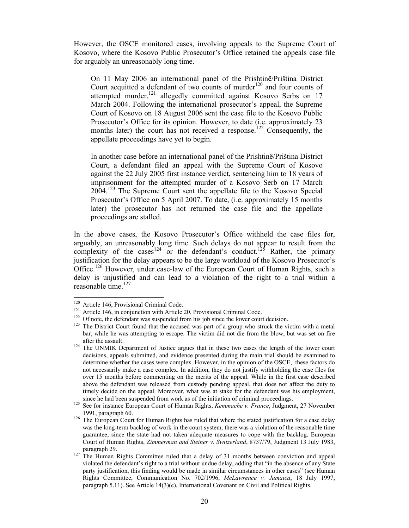However, the OSCE monitored cases, involving appeals to the Supreme Court of Kosovo, where the Kosovo Public Prosecutor's Office retained the appeals case file for arguably an unreasonably long time.

On 11 May 2006 an international panel of the Prishtinë/Priština District Court acquitted a defendant of two counts of murder<sup>120</sup> and four counts of attempted murder,<sup>121</sup> allegedly committed against Kosovo Serbs on 17 March 2004. Following the international prosecutor's appeal, the Supreme Court of Kosovo on 18 August 2006 sent the case file to the Kosovo Public Prosecutor's Office for its opinion. However, to date (i.e. approximately 23 months later) the court has not received a response.<sup>122</sup> Consequently, the appellate proceedings have yet to begin.

In another case before an international panel of the Prishtinë/Priština District Court, a defendant filed an appeal with the Supreme Court of Kosovo against the 22 July 2005 first instance verdict, sentencing him to 18 years of imprisonment for the attempted murder of a Kosovo Serb on 17 March 2004.123 The Supreme Court sent the appellate file to the Kosovo Special Prosecutor's Office on 5 April 2007. To date, (i.e. approximately 15 months later) the prosecutor has not returned the case file and the appellate proceedings are stalled.

In the above cases, the Kosovo Prosecutor's Office withheld the case files for, arguably, an unreasonably long time. Such delays do not appear to result from the complexity of the cases<sup>124</sup> or the defendant's conduct.<sup>125</sup> Rather, the primary justification for the delay appears to be the large workload of the Kosovo Prosecutor's Office.<sup>126</sup> However, under case-law of the European Court of Human Rights, such a delay is unjustified and can lead to a violation of the right to a trial within a reasonable time. $127$ 

<sup>&</sup>lt;sup>120</sup> Article 146, Provisional Criminal Code.

<sup>&</sup>lt;sup>121</sup> Article 146, in conjunction with Article 20, Provisional Criminal Code.<br><sup>122</sup> Of note, the defendant was suspended from his job since the lower court decision.<br><sup>123</sup> The District Court found that the accused was par bar, while he was attempting to escape. The victim did not die from the blow, but was set on fire

after the assault. 124 The UNMIK Department of Justice argues that in these two cases the length of the lower court decisions, appeals submitted, and evidence presented during the main trial should be examined to determine whether the cases were complex. However, in the opinion of the OSCE, these factors do not necessarily make a case complex. In addition, they do not justify withholding the case files for over 15 months before commenting on the merits of the appeal. While in the first case described above the defendant was released from custody pending appeal, that does not affect the duty to timely decide on the appeal. Moreover, what was at stake for the defendant was his employment, since he had been suspended from work as of the initiation of criminal proceedings. 125 See for instance European Court of Human Rights, *Kemmache v. France*, Judgment, 27 November

<sup>1991,</sup> paragraph 60.<br><sup>126</sup> The European Court for Human Rights has ruled that where the stated justification for a case delay was the long-term backlog of work in the court system, there was a violation of the reasonable time guarantee, since the state had not taken adequate measures to cope with the backlog. European Court of Human Rights, *Zimmerman and Steiner v. Switzerland*, 8737/79, Judgment 13 July 1983, paragraph 29.<br><sup>127</sup> The Human Rights Committee ruled that a delay of 31 months between conviction and appeal

violated the defendant's right to a trial without undue delay, adding that "in the absence of any State party justification, this finding would be made in similar circumstances in other cases" (see Human Rights Committee, Communication No. 702/1996, *McLawrence v. Jamaica*, 18 July 1997, paragraph 5.11). See Article 14(3)(c), International Covenant on Civil and Political Rights.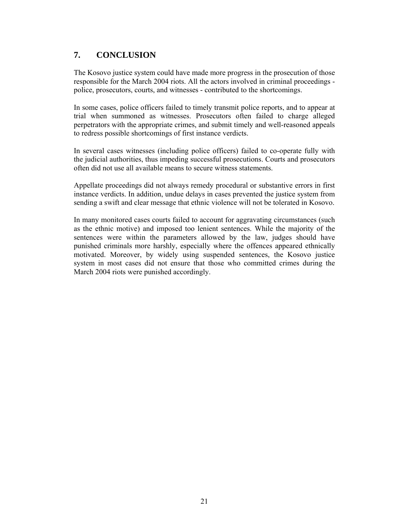## **7. CONCLUSION**

The Kosovo justice system could have made more progress in the prosecution of those responsible for the March 2004 riots. All the actors involved in criminal proceedings police, prosecutors, courts, and witnesses - contributed to the shortcomings.

In some cases, police officers failed to timely transmit police reports, and to appear at trial when summoned as witnesses. Prosecutors often failed to charge alleged perpetrators with the appropriate crimes, and submit timely and well-reasoned appeals to redress possible shortcomings of first instance verdicts.

In several cases witnesses (including police officers) failed to co-operate fully with the judicial authorities, thus impeding successful prosecutions. Courts and prosecutors often did not use all available means to secure witness statements.

Appellate proceedings did not always remedy procedural or substantive errors in first instance verdicts. In addition, undue delays in cases prevented the justice system from sending a swift and clear message that ethnic violence will not be tolerated in Kosovo.

In many monitored cases courts failed to account for aggravating circumstances (such as the ethnic motive) and imposed too lenient sentences. While the majority of the sentences were within the parameters allowed by the law, judges should have punished criminals more harshly, especially where the offences appeared ethnically motivated. Moreover, by widely using suspended sentences, the Kosovo justice system in most cases did not ensure that those who committed crimes during the March 2004 riots were punished accordingly.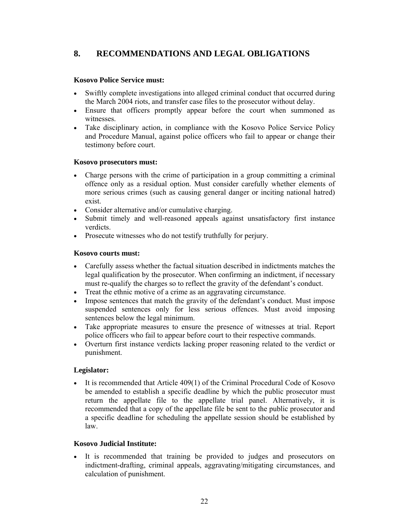## **8. RECOMMENDATIONS AND LEGAL OBLIGATIONS**

#### **Kosovo Police Service must:**

- Swiftly complete investigations into alleged criminal conduct that occurred during the March 2004 riots, and transfer case files to the prosecutor without delay.
- Ensure that officers promptly appear before the court when summoned as witnesses.
- Take disciplinary action, in compliance with the Kosovo Police Service Policy and Procedure Manual, against police officers who fail to appear or change their testimony before court.

#### **Kosovo prosecutors must:**

- Charge persons with the crime of participation in a group committing a criminal offence only as a residual option. Must consider carefully whether elements of more serious crimes (such as causing general danger or inciting national hatred) exist.
- Consider alternative and/or cumulative charging.
- Submit timely and well-reasoned appeals against unsatisfactory first instance verdicts.
- Prosecute witnesses who do not testify truthfully for perjury.

#### **Kosovo courts must:**

- Carefully assess whether the factual situation described in indictments matches the legal qualification by the prosecutor. When confirming an indictment, if necessary must re-qualify the charges so to reflect the gravity of the defendant's conduct.
- Treat the ethnic motive of a crime as an aggravating circumstance.
- Impose sentences that match the gravity of the defendant's conduct. Must impose suspended sentences only for less serious offences. Must avoid imposing sentences below the legal minimum.
- Take appropriate measures to ensure the presence of witnesses at trial. Report police officers who fail to appear before court to their respective commands.
- Overturn first instance verdicts lacking proper reasoning related to the verdict or punishment.

#### **Legislator:**

• It is recommended that Article 409(1) of the Criminal Procedural Code of Kosovo be amended to establish a specific deadline by which the public prosecutor must return the appellate file to the appellate trial panel. Alternatively, it is recommended that a copy of the appellate file be sent to the public prosecutor and a specific deadline for scheduling the appellate session should be established by law.

#### **Kosovo Judicial Institute:**

• It is recommended that training be provided to judges and prosecutors on indictment-drafting, criminal appeals, aggravating/mitigating circumstances, and calculation of punishment.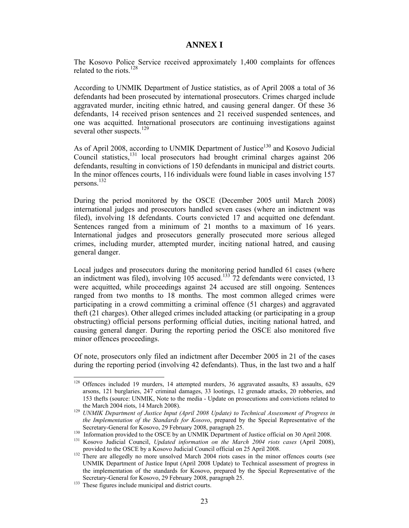#### **ANNEX I**

The Kosovo Police Service received approximately 1,400 complaints for offences related to the riots.<sup>128</sup>

According to UNMIK Department of Justice statistics, as of April 2008 a total of 36 defendants had been prosecuted by international prosecutors. Crimes charged include aggravated murder, inciting ethnic hatred, and causing general danger. Of these 36 defendants, 14 received prison sentences and 21 received suspended sentences, and one was acquitted. International prosecutors are continuing investigations against several other suspects.<sup>129</sup>

As of April 2008, according to UNMIK Department of Justice<sup>130</sup> and Kosovo Judicial Council statistics,131 local prosecutors had brought criminal charges against 206 defendants, resulting in convictions of 150 defendants in municipal and district courts. In the minor offences courts, 116 individuals were found liable in cases involving 157 persons.132

During the period monitored by the OSCE (December 2005 until March 2008) international judges and prosecutors handled seven cases (where an indictment was filed), involving 18 defendants. Courts convicted 17 and acquitted one defendant. Sentences ranged from a minimum of 21 months to a maximum of 16 years. International judges and prosecutors generally prosecuted more serious alleged crimes, including murder, attempted murder, inciting national hatred, and causing general danger.

Local judges and prosecutors during the monitoring period handled 61 cases (where an indictment was filed), involving  $105$  accused.<sup>133</sup> 72 defendants were convicted, 13 were acquitted, while proceedings against 24 accused are still ongoing. Sentences ranged from two months to 18 months. The most common alleged crimes were participating in a crowd committing a criminal offence (51 charges) and aggravated theft (21 charges). Other alleged crimes included attacking (or participating in a group obstructing) official persons performing official duties, inciting national hatred, and causing general danger. During the reporting period the OSCE also monitored five minor offences proceedings.

Of note, prosecutors only filed an indictment after December 2005 in 21 of the cases during the reporting period (involving 42 defendants). Thus, in the last two and a half

<sup>&</sup>lt;sup>128</sup> Offences included 19 murders, 14 attempted murders, 36 aggravated assaults, 83 assaults, 629 arsons, 121 burglaries, 247 criminal damages, 33 lootings, 12 grenade attacks, 20 robberies, and 153 thefts (source: UNMIK, Note to the media - Update on prosecutions and convictions related to

the March 2004 riots, 14 March 2008). 129 *UNMIK Department of Justice Input (April 2008 Update) to Technical Assessment of Progress in the Implementation of the Standards for Kosovo*, prepared by the Special Representative of the

Secretary-General for Kosovo, 29 February 2008, paragraph 25.<br><sup>130</sup> Information provided to the OSCE by an UNMIK Department of Justice official on 30 April 2008.<br><sup>131</sup> Kosovo Judicial Council, *Updated information on the M* 

provided to the OSCE by a Kosovo Judicial Council official on 25 April 2008. 132 There are allegedly no more unsolved March 2004 riots cases in the minor offences courts (see UNMIK Department of Justice Input (April 2008 Update) to Technical assessment of progress in the implementation of the standards for Kosovo, prepared by the Special Representative of the Secretary-General for Kosovo, 29 February 2008, paragraph 25.

 $\frac{133}{2}$  These figures include municipal and district courts.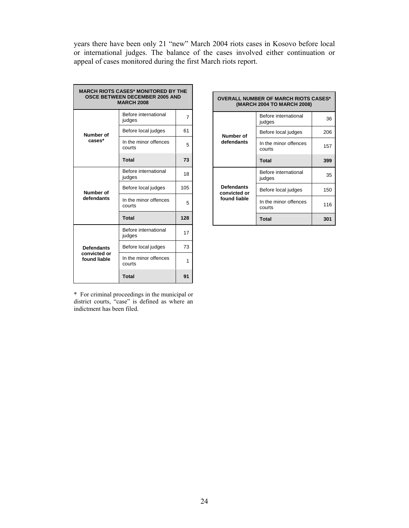years there have been only 21 "new" March 2004 riots cases in Kosovo before local or international judges. The balance of the cases involved either continuation or appeal of cases monitored during the first March riots report.

| <b>MARCH RIOTS CASES* MONITORED BY THE</b><br><b>OSCE BETWEEN DECEMBER 2005 AND</b><br><b>MARCH 2008</b> |                                 |                |  |  |
|----------------------------------------------------------------------------------------------------------|---------------------------------|----------------|--|--|
|                                                                                                          | Before international<br>judges  | $\overline{7}$ |  |  |
| Number of                                                                                                | Before local judges             | 61             |  |  |
| cases*                                                                                                   | In the minor offences<br>courts | 5              |  |  |
|                                                                                                          | <b>Total</b>                    | 73             |  |  |
|                                                                                                          | Before international<br>judges  | 18             |  |  |
| Number of<br>defendants                                                                                  | Before local judges             | 105            |  |  |
|                                                                                                          | In the minor offences<br>courts | 5              |  |  |
|                                                                                                          | <b>Total</b>                    | 128            |  |  |
|                                                                                                          | Before international<br>judges  | 17             |  |  |
| <b>Defendants</b>                                                                                        | Before local judges             | 73             |  |  |
| convicted or<br>found liable                                                                             | In the minor offences<br>courts | 1              |  |  |
|                                                                                                          | <b>Total</b>                    | 91             |  |  |

\* For criminal proceedings in the municipal or district courts, "case" is defined as where an indictment has been filed.

| <b>OVERALL NUMBER OF MARCH RIOTS CASES*</b><br>(MARCH 2004 TO MARCH 2008) |                                 |     |  |  |
|---------------------------------------------------------------------------|---------------------------------|-----|--|--|
|                                                                           | Before international<br>judges  | 36  |  |  |
| Number of                                                                 | Before local judges             | 206 |  |  |
| defendants                                                                | In the minor offences<br>courts | 157 |  |  |
|                                                                           | <b>Total</b>                    | 399 |  |  |
|                                                                           | Before international<br>judges  | 35  |  |  |
| <b>Defendants</b><br>convicted or                                         | Before local judges             | 150 |  |  |
| found liable                                                              | In the minor offences<br>courts | 116 |  |  |
|                                                                           | <b>Total</b>                    | 301 |  |  |